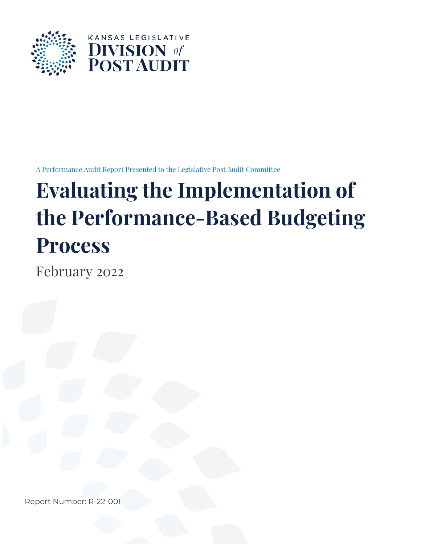

A Performance Audit Report Presented to the Legislative Post Audit Committee

# **Evaluating the Implementation of the Performance-Based Budgeting Process**

February 2022

Report Number: R-22-001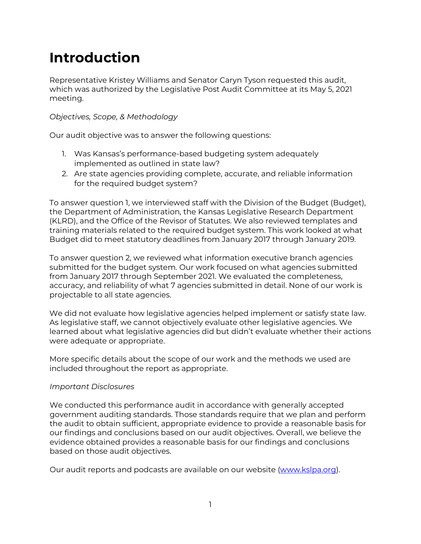# **Introduction**

Representative Kristey Williams and Senator Caryn Tyson requested this audit, which was authorized by the Legislative Post Audit Committee at its May 5, 2021 meeting.

# *Objectives, Scope, & Methodology*

Our audit objective was to answer the following questions:

- 1. Was Kansas's performance-based budgeting system adequately implemented as outlined in state law?
- 2. Are state agencies providing complete, accurate, and reliable information for the required budget system?

To answer question 1, we interviewed staff with the Division of the Budget (Budget), the Department of Administration, the Kansas Legislative Research Department (KLRD), and the Office of the Revisor of Statutes. We also reviewed templates and training materials related to the required budget system. This work looked at what Budget did to meet statutory deadlines from January 2017 through January 2019.

To answer question 2, we reviewed what information executive branch agencies submitted for the budget system. Our work focused on what agencies submitted from January 2017 through September 2021. We evaluated the completeness, accuracy, and reliability of what 7 agencies submitted in detail. None of our work is projectable to all state agencies.

We did not evaluate how legislative agencies helped implement or satisfy state law. As legislative staff, we cannot objectively evaluate other legislative agencies. We learned about what legislative agencies did but didn't evaluate whether their actions were adequate or appropriate.

More specific details about the scope of our work and the methods we used are included throughout the report as appropriate.

# *Important Disclosures*

We conducted this performance audit in accordance with generally accepted government auditing standards. Those standards require that we plan and perform the audit to obtain sufficient, appropriate evidence to provide a reasonable basis for our findings and conclusions based on our audit objectives. Overall, we believe the evidence obtained provides a reasonable basis for our findings and conclusions based on those audit objectives.

Our audit reports and podcasts are available on our website [\(www.kslpa.org\)](http://www.kslpa.org/).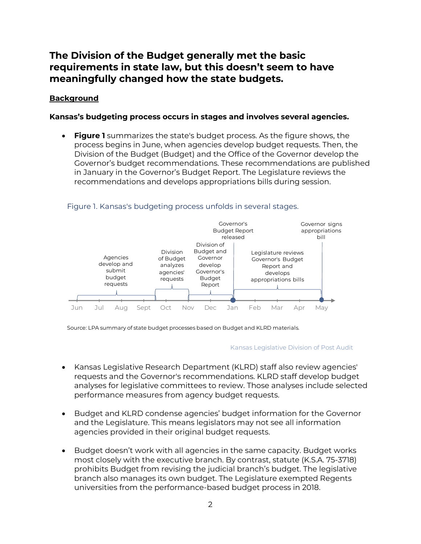# **The Division of the Budget generally met the basic requirements in state law, but this doesn't seem to have meaningfully changed how the state budgets.**

# **Background**

# **Kansas's budgeting process occurs in stages and involves several agencies.**

• **Figure 1** summarizes the state's budget process. As the figure shows, the process begins in June, when agencies develop budget requests. Then, the Division of the Budget (Budget) and the Office of the Governor develop the Governor's budget recommendations. These recommendations are published in January in the Governor's Budget Report. The Legislature reviews the recommendations and develops appropriations bills during session.



#### Figure 1. Kansas's budgeting process unfolds in several stages.

Source: LPA summary of state budget processes based on Budget and KLRD materials.

#### Kansas Legislative Division of Post Audit

- Kansas Legislative Research Department (KLRD) staff also review agencies' requests and the Governor's recommendations. KLRD staff develop budget analyses for legislative committees to review. Those analyses include selected performance measures from agency budget requests.
- Budget and KLRD condense agencies' budget information for the Governor and the Legislature. This means legislators may not see all information agencies provided in their original budget requests.
- Budget doesn't work with all agencies in the same capacity. Budget works most closely with the executive branch. By contrast, statute (K.S.A. 75-3718) prohibits Budget from revising the judicial branch's budget. The legislative branch also manages its own budget. The Legislature exempted Regents universities from the performance-based budget process in 2018.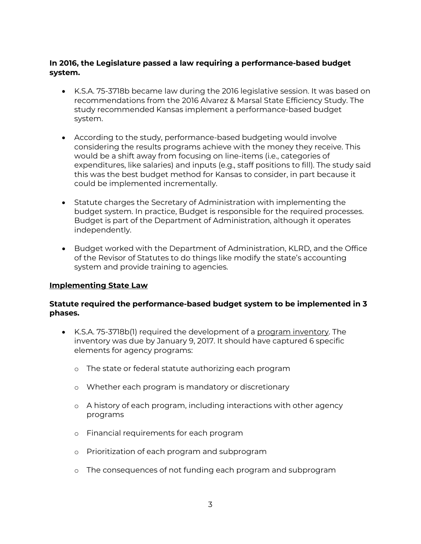# **In 2016, the Legislature passed a law requiring a performance-based budget system.**

- K.S.A. 75-3718b became law during the 2016 legislative session. It was based on recommendations from the 2016 Alvarez & Marsal State Efficiency Study. The study recommended Kansas implement a performance-based budget system.
- According to the study, performance-based budgeting would involve considering the results programs achieve with the money they receive. This would be a shift away from focusing on line-items (i.e., categories of expenditures, like salaries) and inputs (e.g., staff positions to fill). The study said this was the best budget method for Kansas to consider, in part because it could be implemented incrementally.
- Statute charges the Secretary of Administration with implementing the budget system. In practice, Budget is responsible for the required processes. Budget is part of the Department of Administration, although it operates independently.
- Budget worked with the Department of Administration, KLRD, and the Office of the Revisor of Statutes to do things like modify the state's accounting system and provide training to agencies.

# **Implementing State Law**

### **Statute required the performance-based budget system to be implemented in 3 phases.**

- K.S.A. 75-3718b(1) required the development of a program inventory. The inventory was due by January 9, 2017. It should have captured 6 specific elements for agency programs:
	- o The state or federal statute authorizing each program
	- o Whether each program is mandatory or discretionary
	- o A history of each program, including interactions with other agency programs
	- o Financial requirements for each program
	- o Prioritization of each program and subprogram
	- o The consequences of not funding each program and subprogram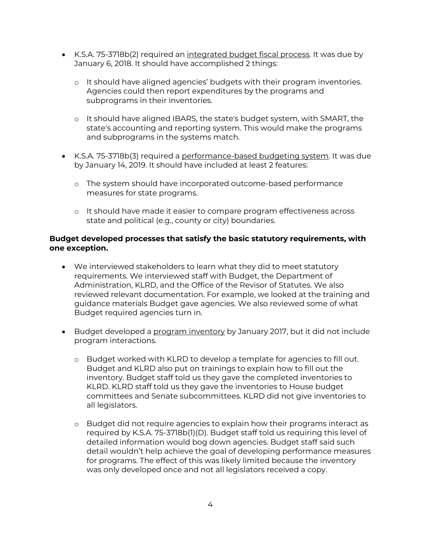- K.S.A. 75-3718b(2) required an integrated budget fiscal process. It was due by January 6, 2018. It should have accomplished 2 things:
	- o It should have aligned agencies' budgets with their program inventories. Agencies could then report expenditures by the programs and subprograms in their inventories.
	- o It should have aligned IBARS, the state's budget system, with SMART, the state's accounting and reporting system. This would make the programs and subprograms in the systems match.
- K.S.A. 75-3718b(3) required a performance-based budgeting system. It was due by January 14, 2019. It should have included at least 2 features:
	- o The system should have incorporated outcome-based performance measures for state programs.
	- o It should have made it easier to compare program effectiveness across state and political (e.g., county or city) boundaries.

### **Budget developed processes that satisfy the basic statutory requirements, with one exception.**

- We interviewed stakeholders to learn what they did to meet statutory requirements. We interviewed staff with Budget, the Department of Administration, KLRD, and the Office of the Revisor of Statutes. We also reviewed relevant documentation. For example, we looked at the training and guidance materials Budget gave agencies. We also reviewed some of what Budget required agencies turn in.
- Budget developed a program inventory by January 2017, but it did not include program interactions.
	- o Budget worked with KLRD to develop a template for agencies to fill out. Budget and KLRD also put on trainings to explain how to fill out the inventory. Budget staff told us they gave the completed inventories to KLRD. KLRD staff told us they gave the inventories to House budget committees and Senate subcommittees. KLRD did not give inventories to all legislators.
	- o Budget did not require agencies to explain how their programs interact as required by K.S.A. 75-3718b(1)(D). Budget staff told us requiring this level of detailed information would bog down agencies. Budget staff said such detail wouldn't help achieve the goal of developing performance measures for programs. The effect of this was likely limited because the inventory was only developed once and not all legislators received a copy.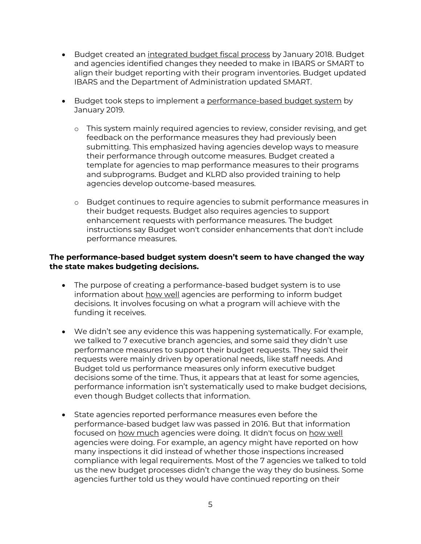- Budget created an integrated budget fiscal process by January 2018. Budget and agencies identified changes they needed to make in IBARS or SMART to align their budget reporting with their program inventories. Budget updated IBARS and the Department of Administration updated SMART.
- Budget took steps to implement a performance-based budget system by January 2019.
	- o This system mainly required agencies to review, consider revising, and get feedback on the performance measures they had previously been submitting. This emphasized having agencies develop ways to measure their performance through outcome measures. Budget created a template for agencies to map performance measures to their programs and subprograms. Budget and KLRD also provided training to help agencies develop outcome-based measures.
	- o Budget continues to require agencies to submit performance measures in their budget requests. Budget also requires agencies to support enhancement requests with performance measures. The budget instructions say Budget won't consider enhancements that don't include performance measures.

# **The performance-based budget system doesn't seem to have changed the way the state makes budgeting decisions.**

- The purpose of creating a performance-based budget system is to use information about how well agencies are performing to inform budget decisions. It involves focusing on what a program will achieve with the funding it receives.
- We didn't see any evidence this was happening systematically. For example, we talked to 7 executive branch agencies, and some said they didn't use performance measures to support their budget requests. They said their requests were mainly driven by operational needs, like staff needs. And Budget told us performance measures only inform executive budget decisions some of the time. Thus, it appears that at least for some agencies, performance information isn't systematically used to make budget decisions, even though Budget collects that information.
- State agencies reported performance measures even before the performance-based budget law was passed in 2016. But that information focused on how much agencies were doing. It didn't focus on how well agencies were doing. For example, an agency might have reported on how many inspections it did instead of whether those inspections increased compliance with legal requirements. Most of the 7 agencies we talked to told us the new budget processes didn't change the way they do business. Some agencies further told us they would have continued reporting on their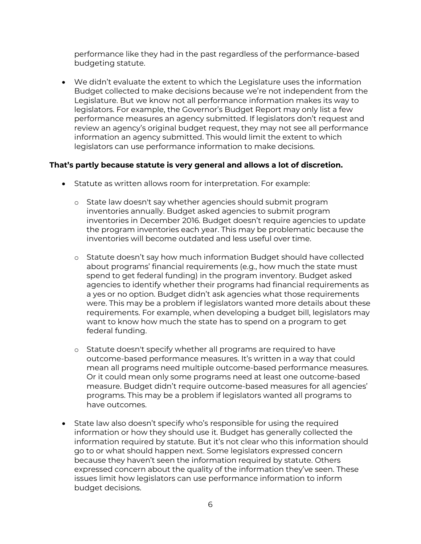performance like they had in the past regardless of the performance-based budgeting statute.

• We didn't evaluate the extent to which the Legislature uses the information Budget collected to make decisions because we're not independent from the Legislature. But we know not all performance information makes its way to legislators. For example, the Governor's Budget Report may only list a few performance measures an agency submitted. If legislators don't request and review an agency's original budget request, they may not see all performance information an agency submitted. This would limit the extent to which legislators can use performance information to make decisions.

### **That's partly because statute is very general and allows a lot of discretion.**

- Statute as written allows room for interpretation. For example:
	- o State law doesn't say whether agencies should submit program inventories annually. Budget asked agencies to submit program inventories in December 2016. Budget doesn't require agencies to update the program inventories each year. This may be problematic because the inventories will become outdated and less useful over time.
	- o Statute doesn't say how much information Budget should have collected about programs' financial requirements (e.g., how much the state must spend to get federal funding) in the program inventory. Budget asked agencies to identify whether their programs had financial requirements as a yes or no option. Budget didn't ask agencies what those requirements were. This may be a problem if legislators wanted more details about these requirements. For example, when developing a budget bill, legislators may want to know how much the state has to spend on a program to get federal funding.
	- o Statute doesn't specify whether all programs are required to have outcome-based performance measures. It's written in a way that could mean all programs need multiple outcome-based performance measures. Or it could mean only some programs need at least one outcome-based measure. Budget didn't require outcome-based measures for all agencies' programs. This may be a problem if legislators wanted all programs to have outcomes.
- State law also doesn't specify who's responsible for using the required information or how they should use it. Budget has generally collected the information required by statute. But it's not clear who this information should go to or what should happen next. Some legislators expressed concern because they haven't seen the information required by statute. Others expressed concern about the quality of the information they've seen. These issues limit how legislators can use performance information to inform budget decisions.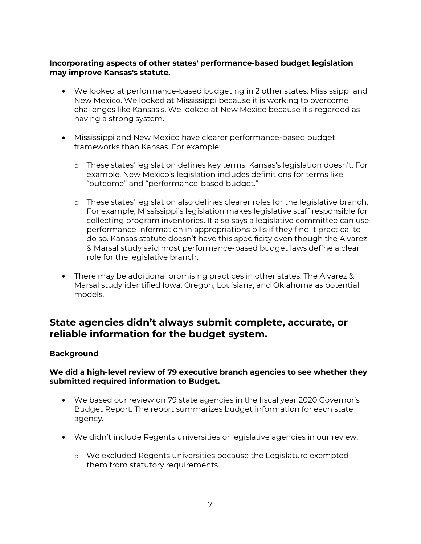# **Incorporating aspects of other states' performance-based budget legislation may improve Kansas's statute.**

- We looked at performance-based budgeting in 2 other states: Mississippi and New Mexico. We looked at Mississippi because it is working to overcome challenges like Kansas's. We looked at New Mexico because it's regarded as having a strong system.
- Mississippi and New Mexico have clearer performance-based budget frameworks than Kansas. For example:
	- o These states' legislation defines key terms. Kansas's legislation doesn't. For example, New Mexico's legislation includes definitions for terms like "outcome" and "performance-based budget."
	- o These states' legislation also defines clearer roles for the legislative branch. For example, Mississippi's legislation makes legislative staff responsible for collecting program inventories. It also says a legislative committee can use performance information in appropriations bills if they find it practical to do so. Kansas statute doesn't have this specificity even though the Alvarez & Marsal study said most performance-based budget laws define a clear role for the legislative branch.
- There may be additional promising practices in other states. The Alvarez & Marsal study identified Iowa, Oregon, Louisiana, and Oklahoma as potential models.

# **State agencies didn't always submit complete, accurate, or reliable information for the budget system.**

# **Background**

# **We did a high-level review of 79 executive branch agencies to see whether they submitted required information to Budget.**

- We based our review on 79 state agencies in the fiscal year 2020 Governor's Budget Report. The report summarizes budget information for each state agency.
- We didn't include Regents universities or legislative agencies in our review.
	- o We excluded Regents universities because the Legislature exempted them from statutory requirements.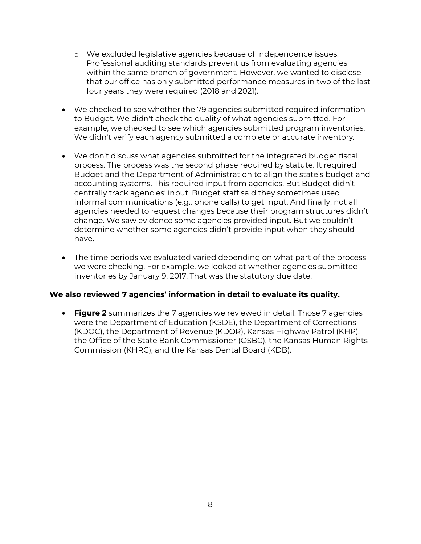- o We excluded legislative agencies because of independence issues. Professional auditing standards prevent us from evaluating agencies within the same branch of government. However, we wanted to disclose that our office has only submitted performance measures in two of the last four years they were required (2018 and 2021).
- We checked to see whether the 79 agencies submitted required information to Budget. We didn't check the quality of what agencies submitted. For example, we checked to see which agencies submitted program inventories. We didn't verify each agency submitted a complete or accurate inventory.
- We don't discuss what agencies submitted for the integrated budget fiscal process. The process was the second phase required by statute. It required Budget and the Department of Administration to align the state's budget and accounting systems. This required input from agencies. But Budget didn't centrally track agencies' input. Budget staff said they sometimes used informal communications (e.g., phone calls) to get input. And finally, not all agencies needed to request changes because their program structures didn't change. We saw evidence some agencies provided input. But we couldn't determine whether some agencies didn't provide input when they should have.
- The time periods we evaluated varied depending on what part of the process we were checking. For example, we looked at whether agencies submitted inventories by January 9, 2017. That was the statutory due date.

# **We also reviewed 7 agencies' information in detail to evaluate its quality.**

• **Figure 2** summarizes the 7 agencies we reviewed in detail. Those 7 agencies were the Department of Education (KSDE), the Department of Corrections (KDOC), the Department of Revenue (KDOR), Kansas Highway Patrol (KHP), the Office of the State Bank Commissioner (OSBC), the Kansas Human Rights Commission (KHRC), and the Kansas Dental Board (KDB).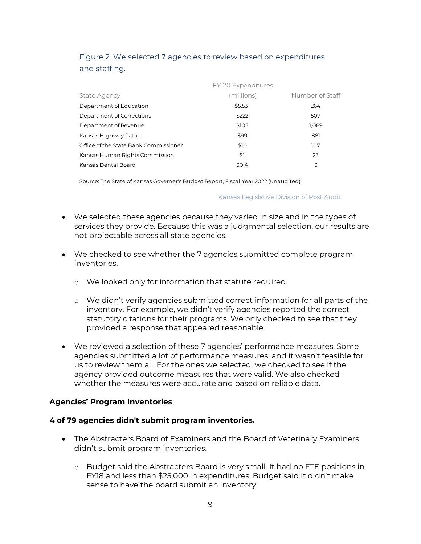|               | Figure 2. We selected 7 agencies to review based on expenditures |
|---------------|------------------------------------------------------------------|
| and staffing. |                                                                  |

|                                       | FY 20 Expenditures |                 |  |
|---------------------------------------|--------------------|-----------------|--|
| <b>State Agency</b>                   | (millions)         | Number of Staff |  |
| Department of Education               | \$5,531            | 264             |  |
| Department of Corrections             | \$222              | 507             |  |
| Department of Revenue                 | \$105              | 1,089           |  |
| Kansas Highway Patrol                 | \$99               | 881             |  |
| Office of the State Bank Commissioner | \$10               | 107             |  |
| Kansas Human Rights Commission        | \$1                | 23              |  |
| Kansas Dental Board                   | \$0.4              | 3               |  |

Source: The State of Kansas Governer's Budget Report, Fiscal Year 2022 (unaudited)

Kansas Legislative Division of Post Audit

- We selected these agencies because they varied in size and in the types of services they provide. Because this was a judgmental selection, our results are not projectable across all state agencies.
- We checked to see whether the 7 agencies submitted complete program inventories.
	- o We looked only for information that statute required.
	- o We didn't verify agencies submitted correct information for all parts of the inventory. For example, we didn't verify agencies reported the correct statutory citations for their programs. We only checked to see that they provided a response that appeared reasonable.
- We reviewed a selection of these 7 agencies' performance measures. Some agencies submitted a lot of performance measures, and it wasn't feasible for us to review them all. For the ones we selected, we checked to see if the agency provided outcome measures that were valid. We also checked whether the measures were accurate and based on reliable data.

#### **Agencies' Program Inventories**

#### **4 of 79 agencies didn't submit program inventories.**

- The Abstracters Board of Examiners and the Board of Veterinary Examiners didn't submit program inventories.
	- o Budget said the Abstracters Board is very small. It had no FTE positions in FY18 and less than \$25,000 in expenditures. Budget said it didn't make sense to have the board submit an inventory.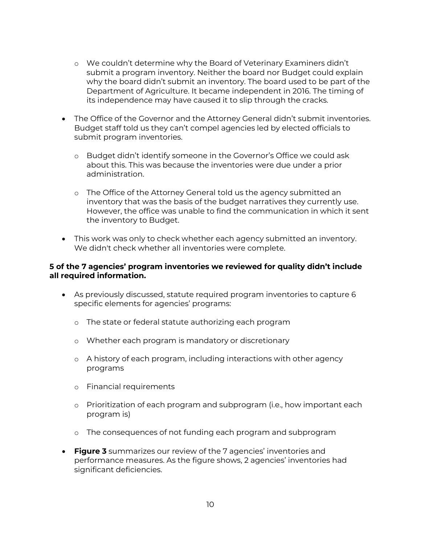- o We couldn't determine why the Board of Veterinary Examiners didn't submit a program inventory. Neither the board nor Budget could explain why the board didn't submit an inventory. The board used to be part of the Department of Agriculture. It became independent in 2016. The timing of its independence may have caused it to slip through the cracks.
- The Office of the Governor and the Attorney General didn't submit inventories. Budget staff told us they can't compel agencies led by elected officials to submit program inventories.
	- o Budget didn't identify someone in the Governor's Office we could ask about this. This was because the inventories were due under a prior administration.
	- o The Office of the Attorney General told us the agency submitted an inventory that was the basis of the budget narratives they currently use. However, the office was unable to find the communication in which it sent the inventory to Budget.
- This work was only to check whether each agency submitted an inventory. We didn't check whether all inventories were complete.

#### **5 of the 7 agencies' program inventories we reviewed for quality didn't include all required information.**

- As previously discussed, statute required program inventories to capture 6 specific elements for agencies' programs:
	- o The state or federal statute authorizing each program
	- o Whether each program is mandatory or discretionary
	- o A history of each program, including interactions with other agency programs
	- o Financial requirements
	- o Prioritization of each program and subprogram (i.e., how important each program is)
	- o The consequences of not funding each program and subprogram
- **Figure 3** summarizes our review of the 7 agencies' inventories and performance measures. As the figure shows, 2 agencies' inventories had significant deficiencies.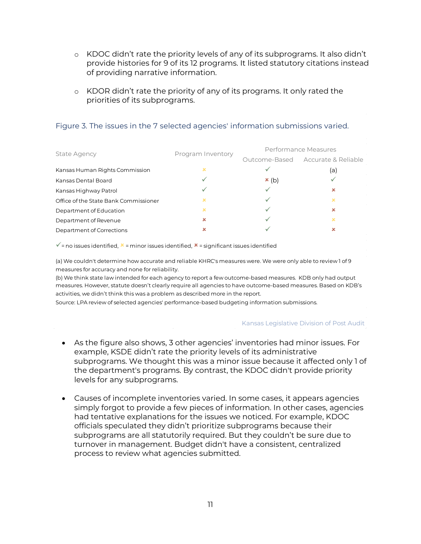- o KDOC didn't rate the priority levels of any of its subprograms. It also didn't provide histories for 9 of its 12 programs. It listed statutory citations instead of providing narrative information.
- o KDOR didn't rate the priority of any of its programs. It only rated the priorities of its subprograms.

| <b>State Agency</b>                   | Program Inventory | Performance Measures |                                   |
|---------------------------------------|-------------------|----------------------|-----------------------------------|
|                                       |                   |                      | Outcome-Based Accurate & Reliable |
| Kansas Human Rights Commission        | $\mathbf x$       | ✓                    | (a)                               |
| Kansas Dental Board                   | ✓                 | x(b)                 | ✓                                 |
| Kansas Highway Patrol                 | ✓                 |                      | $\boldsymbol{\mathsf{x}}$         |
| Office of the State Bank Commissioner | ×                 |                      | $\mathbf x$                       |
| Department of Education               | ×                 |                      | $\mathbf x$                       |
| Department of Revenue                 | ×                 |                      | ×                                 |
| Department of Corrections             | ×                 |                      | ×                                 |
|                                       |                   |                      |                                   |

#### Figure 3. The issues in the 7 selected agencies' information submissions varied.

 $\checkmark$  = no issues identified,  $\checkmark$  = minor issues identified,  $\checkmark$  = significant issues identified

(a) We couldn't determine how accurate and reliable KHRC's measures were. We were only able to review 1 of 9 measures for accuracy and none for reliability.

(b) We think state law intended for each agency to report a few outcome-based measures. KDB only had output measures. However, statute doesn't clearly require all agencies to have outcome-based measures. Based on KDB's activities, we didn't think this was a problem as described more in the report.

Source: LPA review of selected agencies' performance-based budgeting information submissions.

Kansas Legislative Division of Post Audit

- As the figure also shows, 3 other agencies' inventories had minor issues. For example, KSDE didn't rate the priority levels of its administrative subprograms. We thought this was a minor issue because it affected only 1 of the department's programs. By contrast, the KDOC didn't provide priority levels for any subprograms.
- Causes of incomplete inventories varied. In some cases, it appears agencies simply forgot to provide a few pieces of information. In other cases, agencies had tentative explanations for the issues we noticed. For example, KDOC officials speculated they didn't prioritize subprograms because their subprograms are all statutorily required. But they couldn't be sure due to turnover in management. Budget didn't have a consistent, centralized process to review what agencies submitted.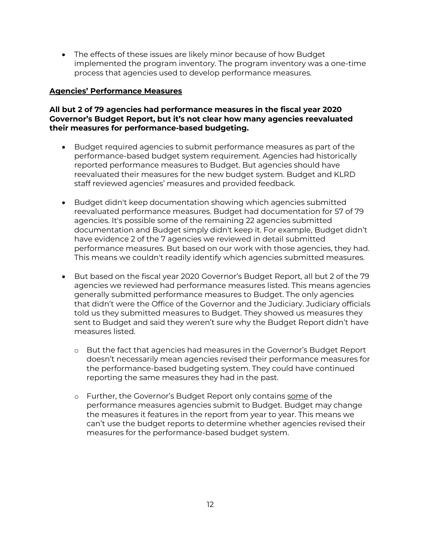• The effects of these issues are likely minor because of how Budget implemented the program inventory. The program inventory was a one-time process that agencies used to develop performance measures.

# **Agencies' Performance Measures**

# **All but 2 of 79 agencies had performance measures in the fiscal year 2020 Governor's Budget Report, but it's not clear how many agencies reevaluated their measures for performance-based budgeting.**

- Budget required agencies to submit performance measures as part of the performance-based budget system requirement. Agencies had historically reported performance measures to Budget. But agencies should have reevaluated their measures for the new budget system. Budget and KLRD staff reviewed agencies' measures and provided feedback.
- Budget didn't keep documentation showing which agencies submitted reevaluated performance measures. Budget had documentation for 57 of 79 agencies. It's possible some of the remaining 22 agencies submitted documentation and Budget simply didn't keep it. For example, Budget didn't have evidence 2 of the 7 agencies we reviewed in detail submitted performance measures. But based on our work with those agencies, they had. This means we couldn't readily identify which agencies submitted measures.
- But based on the fiscal year 2020 Governor's Budget Report, all but 2 of the 79 agencies we reviewed had performance measures listed. This means agencies generally submitted performance measures to Budget. The only agencies that didn't were the Office of the Governor and the Judiciary. Judiciary officials told us they submitted measures to Budget. They showed us measures they sent to Budget and said they weren't sure why the Budget Report didn't have measures listed.
	- o But the fact that agencies had measures in the Governor's Budget Report doesn't necessarily mean agencies revised their performance measures for the performance-based budgeting system. They could have continued reporting the same measures they had in the past.
	- o Further, the Governor's Budget Report only contains some of the performance measures agencies submit to Budget. Budget may change the measures it features in the report from year to year. This means we can't use the budget reports to determine whether agencies revised their measures for the performance-based budget system.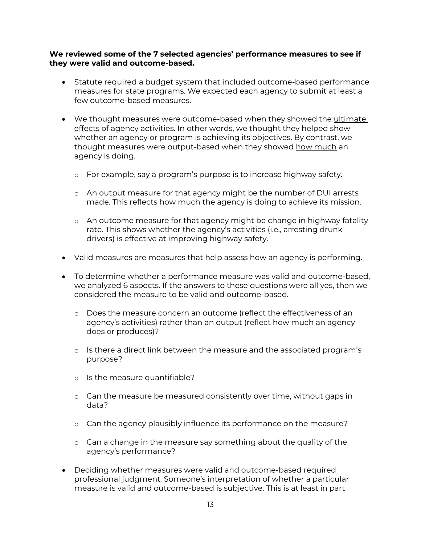### **We reviewed some of the 7 selected agencies' performance measures to see if they were valid and outcome-based.**

- Statute required a budget system that included outcome-based performance measures for state programs. We expected each agency to submit at least a few outcome-based measures.
- We thought measures were outcome-based when they showed the ultimate effects of agency activities. In other words, we thought they helped show whether an agency or program is achieving its objectives. By contrast, we thought measures were output-based when they showed how much an agency is doing.
	- o For example, say a program's purpose is to increase highway safety.
	- o An output measure for that agency might be the number of DUI arrests made. This reflects how much the agency is doing to achieve its mission.
	- o An outcome measure for that agency might be change in highway fatality rate. This shows whether the agency's activities (i.e., arresting drunk drivers) is effective at improving highway safety.
- Valid measures are measures that help assess how an agency is performing.
- To determine whether a performance measure was valid and outcome-based, we analyzed 6 aspects. If the answers to these questions were all yes, then we considered the measure to be valid and outcome-based.
	- o Does the measure concern an outcome (reflect the effectiveness of an agency's activities) rather than an output (reflect how much an agency does or produces)?
	- o Is there a direct link between the measure and the associated program's purpose?
	- o Is the measure quantifiable?
	- o Can the measure be measured consistently over time, without gaps in data?
	- o Can the agency plausibly influence its performance on the measure?
	- o Can a change in the measure say something about the quality of the agency's performance?
- Deciding whether measures were valid and outcome-based required professional judgment. Someone's interpretation of whether a particular measure is valid and outcome-based is subjective. This is at least in part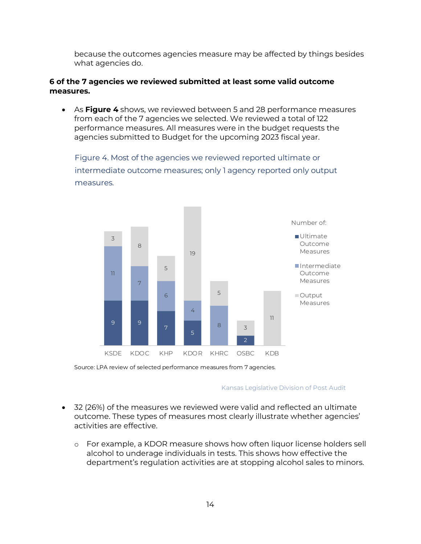because the outcomes agencies measure may be affected by things besides what agencies do.

### **6 of the 7 agencies we reviewed submitted at least some valid outcome measures.**

• As **Figure 4** shows, we reviewed between 5 and 28 performance measures from each of the 7 agencies we selected. We reviewed a total of 122 performance measures. All measures were in the budget requests the agencies submitted to Budget for the upcoming 2023 fiscal year.

Figure 4. Most of the agencies we reviewed reported ultimate or intermediate outcome measures; only 1 agency reported only output measures.



Source: LPA review of selected performance measures from 7 agencies.

#### Kansas Legislative Division of Post Audit

- 32 (26%) of the measures we reviewed were valid and reflected an ultimate outcome. These types of measures most clearly illustrate whether agencies' activities are effective.
	- o For example, a KDOR measure shows how often liquor license holders sell alcohol to underage individuals in tests. This shows how effective the department's regulation activities are at stopping alcohol sales to minors.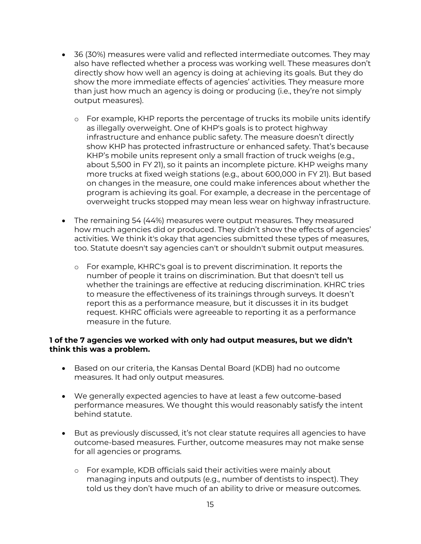- 36 (30%) measures were valid and reflected intermediate outcomes. They may also have reflected whether a process was working well. These measures don't directly show how well an agency is doing at achieving its goals. But they do show the more immediate effects of agencies' activities. They measure more than just how much an agency is doing or producing (i.e., they're not simply output measures).
	- o For example, KHP reports the percentage of trucks its mobile units identify as illegally overweight. One of KHP's goals is to protect highway infrastructure and enhance public safety. The measure doesn't directly show KHP has protected infrastructure or enhanced safety. That's because KHP's mobile units represent only a small fraction of truck weighs (e.g., about 5,500 in FY 21), so it paints an incomplete picture. KHP weighs many more trucks at fixed weigh stations (e.g., about 600,000 in FY 21). But based on changes in the measure, one could make inferences about whether the program is achieving its goal. For example, a decrease in the percentage of overweight trucks stopped may mean less wear on highway infrastructure.
- The remaining 54 (44%) measures were output measures. They measured how much agencies did or produced. They didn't show the effects of agencies' activities. We think it's okay that agencies submitted these types of measures, too. Statute doesn't say agencies can't or shouldn't submit output measures.
	- o For example, KHRC's goal is to prevent discrimination. It reports the number of people it trains on discrimination. But that doesn't tell us whether the trainings are effective at reducing discrimination. KHRC tries to measure the effectiveness of its trainings through surveys. It doesn't report this as a performance measure, but it discusses it in its budget request. KHRC officials were agreeable to reporting it as a performance measure in the future.

#### **1 of the 7 agencies we worked with only had output measures, but we didn't think this was a problem.**

- Based on our criteria, the Kansas Dental Board (KDB) had no outcome measures. It had only output measures.
- We generally expected agencies to have at least a few outcome-based performance measures. We thought this would reasonably satisfy the intent behind statute.
- But as previously discussed, it's not clear statute requires all agencies to have outcome-based measures. Further, outcome measures may not make sense for all agencies or programs.
	- o For example, KDB officials said their activities were mainly about managing inputs and outputs (e.g., number of dentists to inspect). They told us they don't have much of an ability to drive or measure outcomes.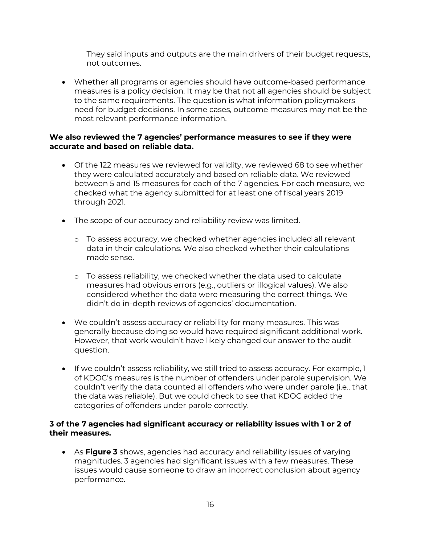They said inputs and outputs are the main drivers of their budget requests, not outcomes.

• Whether all programs or agencies should have outcome-based performance measures is a policy decision. It may be that not all agencies should be subject to the same requirements. The question is what information policymakers need for budget decisions. In some cases, outcome measures may not be the most relevant performance information.

# **We also reviewed the 7 agencies' performance measures to see if they were accurate and based on reliable data.**

- Of the 122 measures we reviewed for validity, we reviewed 68 to see whether they were calculated accurately and based on reliable data. We reviewed between 5 and 15 measures for each of the 7 agencies. For each measure, we checked what the agency submitted for at least one of fiscal years 2019 through 2021.
- The scope of our accuracy and reliability review was limited.
	- o To assess accuracy, we checked whether agencies included all relevant data in their calculations. We also checked whether their calculations made sense.
	- o To assess reliability, we checked whether the data used to calculate measures had obvious errors (e.g., outliers or illogical values). We also considered whether the data were measuring the correct things. We didn't do in-depth reviews of agencies' documentation.
- We couldn't assess accuracy or reliability for many measures. This was generally because doing so would have required significant additional work. However, that work wouldn't have likely changed our answer to the audit question.
- If we couldn't assess reliability, we still tried to assess accuracy. For example, 1 of KDOC's measures is the number of offenders under parole supervision. We couldn't verify the data counted all offenders who were under parole (i.e., that the data was reliable). But we could check to see that KDOC added the categories of offenders under parole correctly.

# **3 of the 7 agencies had significant accuracy or reliability issues with 1 or 2 of their measures.**

• As **Figure 3** shows, agencies had accuracy and reliability issues of varying magnitudes. 3 agencies had significant issues with a few measures. These issues would cause someone to draw an incorrect conclusion about agency performance.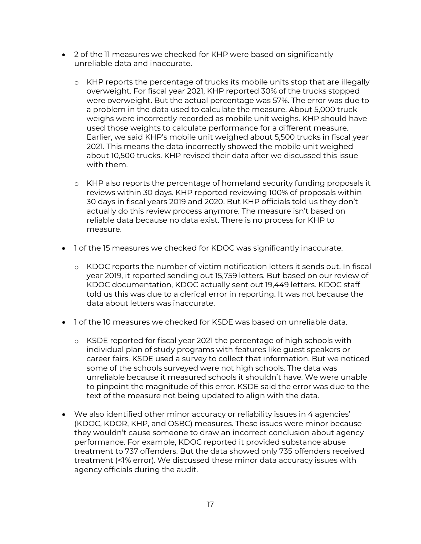- 2 of the 11 measures we checked for KHP were based on significantly unreliable data and inaccurate.
	- o KHP reports the percentage of trucks its mobile units stop that are illegally overweight. For fiscal year 2021, KHP reported 30% of the trucks stopped were overweight. But the actual percentage was 57%. The error was due to a problem in the data used to calculate the measure. About 5,000 truck weighs were incorrectly recorded as mobile unit weighs. KHP should have used those weights to calculate performance for a different measure. Earlier, we said KHP's mobile unit weighed about 5,500 trucks in fiscal year 2021. This means the data incorrectly showed the mobile unit weighed about 10,500 trucks. KHP revised their data after we discussed this issue with them.
	- o KHP also reports the percentage of homeland security funding proposals it reviews within 30 days. KHP reported reviewing 100% of proposals within 30 days in fiscal years 2019 and 2020. But KHP officials told us they don't actually do this review process anymore. The measure isn't based on reliable data because no data exist. There is no process for KHP to measure.
- 1 of the 15 measures we checked for KDOC was significantly inaccurate.
	- o KDOC reports the number of victim notification letters it sends out. In fiscal year 2019, it reported sending out 15,759 letters. But based on our review of KDOC documentation, KDOC actually sent out 19,449 letters. KDOC staff told us this was due to a clerical error in reporting. It was not because the data about letters was inaccurate.
- 1 of the 10 measures we checked for KSDE was based on unreliable data.
	- o KSDE reported for fiscal year 2021 the percentage of high schools with individual plan of study programs with features like guest speakers or career fairs. KSDE used a survey to collect that information. But we noticed some of the schools surveyed were not high schools. The data was unreliable because it measured schools it shouldn't have. We were unable to pinpoint the magnitude of this error. KSDE said the error was due to the text of the measure not being updated to align with the data.
- We also identified other minor accuracy or reliability issues in 4 agencies' (KDOC, KDOR, KHP, and OSBC) measures. These issues were minor because they wouldn't cause someone to draw an incorrect conclusion about agency performance. For example, KDOC reported it provided substance abuse treatment to 737 offenders. But the data showed only 735 offenders received treatment (<1% error). We discussed these minor data accuracy issues with agency officials during the audit.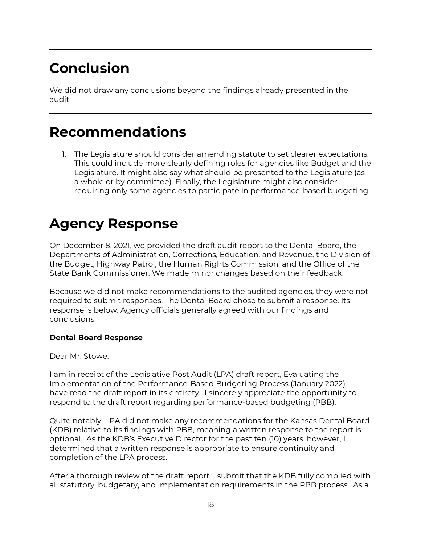# **Conclusion**

We did not draw any conclusions beyond the findings already presented in the audit.

# **Recommendations**

1. The Legislature should consider amending statute to set clearer expectations. This could include more clearly defining roles for agencies like Budget and the Legislature. It might also say what should be presented to the Legislature (as a whole or by committee). Finally, the Legislature might also consider requiring only some agencies to participate in performance-based budgeting.

# **Agency Response**

On December 8, 2021, we provided the draft audit report to the Dental Board, the Departments of Administration, Corrections, Education, and Revenue, the Division of the Budget, Highway Patrol, the Human Rights Commission, and the Office of the State Bank Commissioner. We made minor changes based on their feedback.

Because we did not make recommendations to the audited agencies, they were not required to submit responses. The Dental Board chose to submit a response. Its response is below. Agency officials generally agreed with our findings and conclusions.

# **Dental Board Response**

Dear Mr. Stowe:

I am in receipt of the Legislative Post Audit (LPA) draft report, Evaluating the Implementation of the Performance-Based Budgeting Process (January 2022). I have read the draft report in its entirety. I sincerely appreciate the opportunity to respond to the draft report regarding performance-based budgeting (PBB).

Quite notably, LPA did not make any recommendations for the Kansas Dental Board (KDB) relative to its findings with PBB, meaning a written response to the report is optional. As the KDB's Executive Director for the past ten (10) years, however, I determined that a written response is appropriate to ensure continuity and completion of the LPA process.

After a thorough review of the draft report, I submit that the KDB fully complied with all statutory, budgetary, and implementation requirements in the PBB process. As a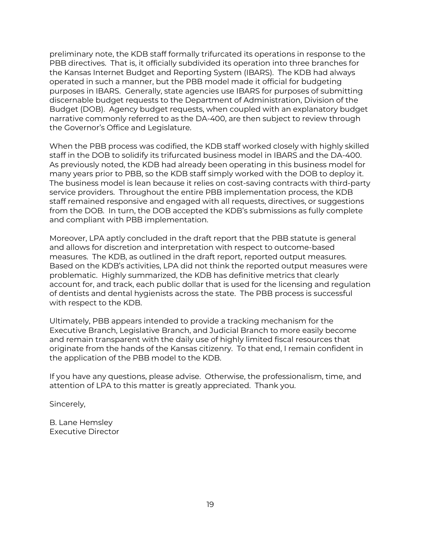preliminary note, the KDB staff formally trifurcated its operations in response to the PBB directives. That is, it officially subdivided its operation into three branches for the Kansas Internet Budget and Reporting System (IBARS). The KDB had always operated in such a manner, but the PBB model made it official for budgeting purposes in IBARS. Generally, state agencies use IBARS for purposes of submitting discernable budget requests to the Department of Administration, Division of the Budget (DOB). Agency budget requests, when coupled with an explanatory budget narrative commonly referred to as the DA-400, are then subject to review through the Governor's Office and Legislature.

When the PBB process was codified, the KDB staff worked closely with highly skilled staff in the DOB to solidify its trifurcated business model in IBARS and the DA-400. As previously noted, the KDB had already been operating in this business model for many years prior to PBB, so the KDB staff simply worked with the DOB to deploy it. The business model is lean because it relies on cost-saving contracts with third-party service providers. Throughout the entire PBB implementation process, the KDB staff remained responsive and engaged with all requests, directives, or suggestions from the DOB. In turn, the DOB accepted the KDB's submissions as fully complete and compliant with PBB implementation.

Moreover, LPA aptly concluded in the draft report that the PBB statute is general and allows for discretion and interpretation with respect to outcome-based measures. The KDB, as outlined in the draft report, reported output measures. Based on the KDB's activities, LPA did not think the reported output measures were problematic. Highly summarized, the KDB has definitive metrics that clearly account for, and track, each public dollar that is used for the licensing and regulation of dentists and dental hygienists across the state. The PBB process is successful with respect to the KDB.

Ultimately, PBB appears intended to provide a tracking mechanism for the Executive Branch, Legislative Branch, and Judicial Branch to more easily become and remain transparent with the daily use of highly limited fiscal resources that originate from the hands of the Kansas citizenry. To that end, I remain confident in the application of the PBB model to the KDB.

If you have any questions, please advise. Otherwise, the professionalism, time, and attention of LPA to this matter is greatly appreciated. Thank you.

Sincerely,

B. Lane Hemsley Executive Director